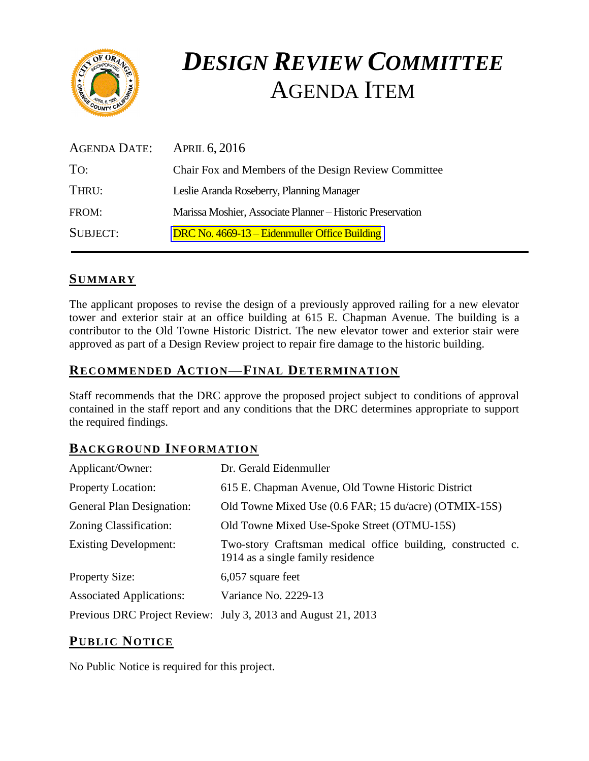

# *DESIGN REVIEW COMMITTEE*  AGENDA ITEM

| AGENDA DATE:    | APRIL 6, 2016                                              |
|-----------------|------------------------------------------------------------|
| To:             | Chair Fox and Members of the Design Review Committee       |
| THRU:           | Leslie Aranda Roseberry, Planning Manager                  |
| FROM:           | Marissa Moshier, Associate Planner - Historic Preservation |
| <b>SUBJECT:</b> | DRC No. 4669-13 – Eidenmuller Office Building              |

## **SUMMARY**

The applicant proposes to revise the design of a previously approved railing for a new elevator tower and exterior stair at an office building at 615 E. Chapman Avenue. The building is a contributor to the Old Towne Historic District. The new elevator tower and exterior stair were approved as part of a Design Review project to repair fire damage to the historic building.

## **RECOMMENDED ACTION—FINAL DETERMINATION**

Staff recommends that the DRC approve the proposed project subject to conditions of approval contained in the staff report and any conditions that the DRC determines appropriate to support the required findings.

## **BACKGROUND INFORMATION**

| Applicant/Owner:                 | Dr. Gerald Eidenmuller                                                                           |
|----------------------------------|--------------------------------------------------------------------------------------------------|
| <b>Property Location:</b>        | 615 E. Chapman Avenue, Old Towne Historic District                                               |
| <b>General Plan Designation:</b> | Old Towne Mixed Use (0.6 FAR; 15 du/acre) (OTMIX-15S)                                            |
| Zoning Classification:           | Old Towne Mixed Use-Spoke Street (OTMU-15S)                                                      |
| <b>Existing Development:</b>     | Two-story Craftsman medical office building, constructed c.<br>1914 as a single family residence |
| <b>Property Size:</b>            | 6,057 square feet                                                                                |
| <b>Associated Applications:</b>  | Variance No. 2229-13                                                                             |
|                                  | Previous DRC Project Review: July 3, 2013 and August 21, 2013                                    |

# **PUB LIC NOTICE**

No Public Notice is required for this project.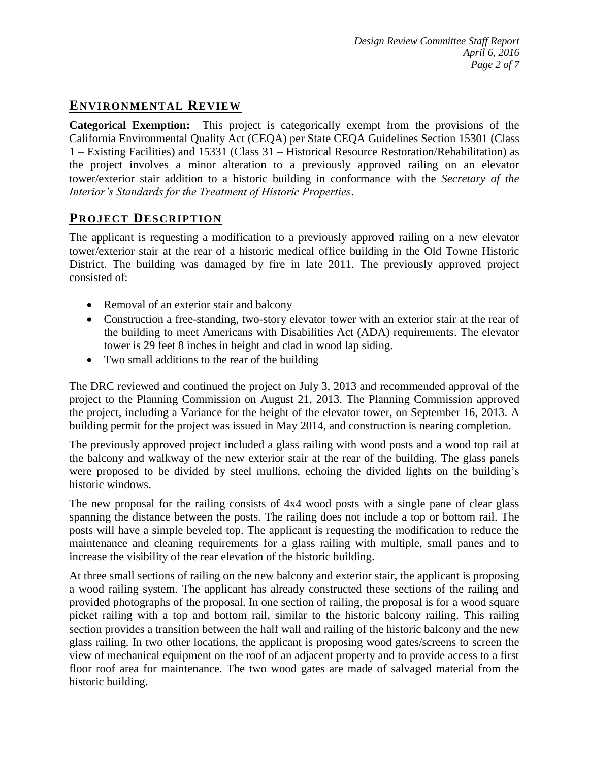# **ENVIRONMENTAL REVIEW**

**Categorical Exemption:** This project is categorically exempt from the provisions of the California Environmental Quality Act (CEQA) per State CEQA Guidelines Section 15301 (Class 1 – Existing Facilities) and 15331 (Class 31 – Historical Resource Restoration/Rehabilitation) as the project involves a minor alteration to a previously approved railing on an elevator tower/exterior stair addition to a historic building in conformance with the *Secretary of the Interior's Standards for the Treatment of Historic Properties*.

# **PROJECT DESCRIP TION**

The applicant is requesting a modification to a previously approved railing on a new elevator tower/exterior stair at the rear of a historic medical office building in the Old Towne Historic District. The building was damaged by fire in late 2011. The previously approved project consisted of:

- Removal of an exterior stair and balcony
- Construction a free-standing, two-story elevator tower with an exterior stair at the rear of the building to meet Americans with Disabilities Act (ADA) requirements. The elevator tower is 29 feet 8 inches in height and clad in wood lap siding.
- Two small additions to the rear of the building

The DRC reviewed and continued the project on July 3, 2013 and recommended approval of the project to the Planning Commission on August 21, 2013. The Planning Commission approved the project, including a Variance for the height of the elevator tower, on September 16, 2013. A building permit for the project was issued in May 2014, and construction is nearing completion.

The previously approved project included a glass railing with wood posts and a wood top rail at the balcony and walkway of the new exterior stair at the rear of the building. The glass panels were proposed to be divided by steel mullions, echoing the divided lights on the building's historic windows.

The new proposal for the railing consists of 4x4 wood posts with a single pane of clear glass spanning the distance between the posts. The railing does not include a top or bottom rail. The posts will have a simple beveled top. The applicant is requesting the modification to reduce the maintenance and cleaning requirements for a glass railing with multiple, small panes and to increase the visibility of the rear elevation of the historic building.

At three small sections of railing on the new balcony and exterior stair, the applicant is proposing a wood railing system. The applicant has already constructed these sections of the railing and provided photographs of the proposal. In one section of railing, the proposal is for a wood square picket railing with a top and bottom rail, similar to the historic balcony railing. This railing section provides a transition between the half wall and railing of the historic balcony and the new glass railing. In two other locations, the applicant is proposing wood gates/screens to screen the view of mechanical equipment on the roof of an adjacent property and to provide access to a first floor roof area for maintenance. The two wood gates are made of salvaged material from the historic building.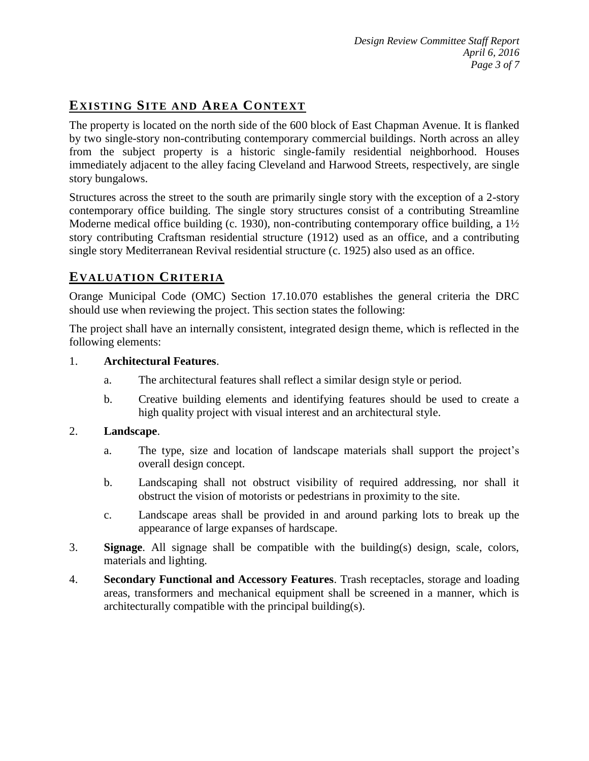# **EXISTING SITE AND AREA CONTEXT**

The property is located on the north side of the 600 block of East Chapman Avenue. It is flanked by two single-story non-contributing contemporary commercial buildings. North across an alley from the subject property is a historic single-family residential neighborhood. Houses immediately adjacent to the alley facing Cleveland and Harwood Streets, respectively, are single story bungalows.

Structures across the street to the south are primarily single story with the exception of a 2-story contemporary office building. The single story structures consist of a contributing Streamline Moderne medical office building (c. 1930), non-contributing contemporary office building, a 1<sup>1</sup>/<sub>2</sub> story contributing Craftsman residential structure (1912) used as an office, and a contributing single story Mediterranean Revival residential structure (c. 1925) also used as an office.

# **EVALUATION CRITERIA**

Orange Municipal Code (OMC) Section 17.10.070 establishes the general criteria the DRC should use when reviewing the project. This section states the following:

The project shall have an internally consistent, integrated design theme, which is reflected in the following elements:

#### 1. **Architectural Features**.

- a. The architectural features shall reflect a similar design style or period.
- b. Creative building elements and identifying features should be used to create a high quality project with visual interest and an architectural style.

#### 2. **Landscape**.

- a. The type, size and location of landscape materials shall support the project's overall design concept.
- b. Landscaping shall not obstruct visibility of required addressing, nor shall it obstruct the vision of motorists or pedestrians in proximity to the site.
- c. Landscape areas shall be provided in and around parking lots to break up the appearance of large expanses of hardscape.
- 3. **Signage**. All signage shall be compatible with the building(s) design, scale, colors, materials and lighting.
- 4. **Secondary Functional and Accessory Features**. Trash receptacles, storage and loading areas, transformers and mechanical equipment shall be screened in a manner, which is architecturally compatible with the principal building(s).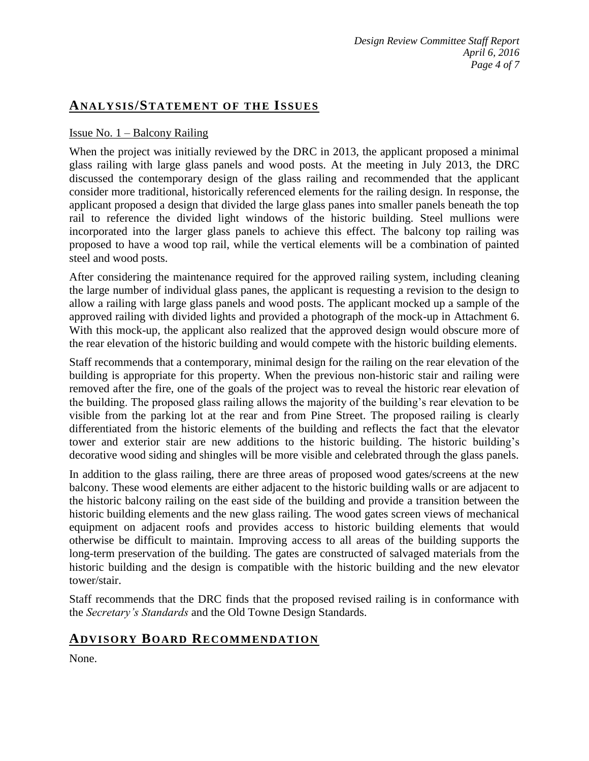## **ANALY SIS/STATEMENT OF THE ISSUES**

#### Issue No. 1 – Balcony Railing

When the project was initially reviewed by the DRC in 2013, the applicant proposed a minimal glass railing with large glass panels and wood posts. At the meeting in July 2013, the DRC discussed the contemporary design of the glass railing and recommended that the applicant consider more traditional, historically referenced elements for the railing design. In response, the applicant proposed a design that divided the large glass panes into smaller panels beneath the top rail to reference the divided light windows of the historic building. Steel mullions were incorporated into the larger glass panels to achieve this effect. The balcony top railing was proposed to have a wood top rail, while the vertical elements will be a combination of painted steel and wood posts.

After considering the maintenance required for the approved railing system, including cleaning the large number of individual glass panes, the applicant is requesting a revision to the design to allow a railing with large glass panels and wood posts. The applicant mocked up a sample of the approved railing with divided lights and provided a photograph of the mock-up in Attachment 6. With this mock-up, the applicant also realized that the approved design would obscure more of the rear elevation of the historic building and would compete with the historic building elements.

Staff recommends that a contemporary, minimal design for the railing on the rear elevation of the building is appropriate for this property. When the previous non-historic stair and railing were removed after the fire, one of the goals of the project was to reveal the historic rear elevation of the building. The proposed glass railing allows the majority of the building's rear elevation to be visible from the parking lot at the rear and from Pine Street. The proposed railing is clearly differentiated from the historic elements of the building and reflects the fact that the elevator tower and exterior stair are new additions to the historic building. The historic building's decorative wood siding and shingles will be more visible and celebrated through the glass panels.

In addition to the glass railing, there are three areas of proposed wood gates/screens at the new balcony. These wood elements are either adjacent to the historic building walls or are adjacent to the historic balcony railing on the east side of the building and provide a transition between the historic building elements and the new glass railing. The wood gates screen views of mechanical equipment on adjacent roofs and provides access to historic building elements that would otherwise be difficult to maintain. Improving access to all areas of the building supports the long-term preservation of the building. The gates are constructed of salvaged materials from the historic building and the design is compatible with the historic building and the new elevator tower/stair.

Staff recommends that the DRC finds that the proposed revised railing is in conformance with the *Secretary's Standards* and the Old Towne Design Standards.

## **ADVISORY BOARD RECOMMENDATION**

None.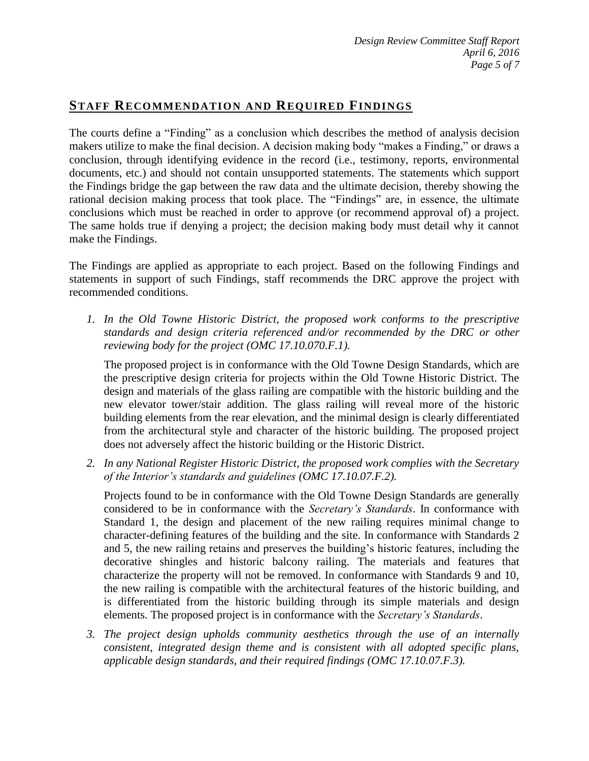# **STAFF RECOMMENDATION AND REQUIRED FINDINGS**

The courts define a "Finding" as a conclusion which describes the method of analysis decision makers utilize to make the final decision. A decision making body "makes a Finding," or draws a conclusion, through identifying evidence in the record (i.e., testimony, reports, environmental documents, etc.) and should not contain unsupported statements. The statements which support the Findings bridge the gap between the raw data and the ultimate decision, thereby showing the rational decision making process that took place. The "Findings" are, in essence, the ultimate conclusions which must be reached in order to approve (or recommend approval of) a project. The same holds true if denying a project; the decision making body must detail why it cannot make the Findings.

The Findings are applied as appropriate to each project. Based on the following Findings and statements in support of such Findings, staff recommends the DRC approve the project with recommended conditions.

*1. In the Old Towne Historic District, the proposed work conforms to the prescriptive standards and design criteria referenced and/or recommended by the DRC or other reviewing body for the project (OMC 17.10.070.F.1).*

The proposed project is in conformance with the Old Towne Design Standards, which are the prescriptive design criteria for projects within the Old Towne Historic District. The design and materials of the glass railing are compatible with the historic building and the new elevator tower/stair addition. The glass railing will reveal more of the historic building elements from the rear elevation, and the minimal design is clearly differentiated from the architectural style and character of the historic building. The proposed project does not adversely affect the historic building or the Historic District.

*2. In any National Register Historic District, the proposed work complies with the Secretary of the Interior's standards and guidelines (OMC 17.10.07.F.2).*

Projects found to be in conformance with the Old Towne Design Standards are generally considered to be in conformance with the *Secretary's Standards*. In conformance with Standard 1, the design and placement of the new railing requires minimal change to character-defining features of the building and the site. In conformance with Standards 2 and 5, the new railing retains and preserves the building's historic features, including the decorative shingles and historic balcony railing. The materials and features that characterize the property will not be removed. In conformance with Standards 9 and 10, the new railing is compatible with the architectural features of the historic building, and is differentiated from the historic building through its simple materials and design elements. The proposed project is in conformance with the *Secretary's Standards*.

*3. The project design upholds community aesthetics through the use of an internally consistent, integrated design theme and is consistent with all adopted specific plans, applicable design standards, and their required findings (OMC 17.10.07.F.3).*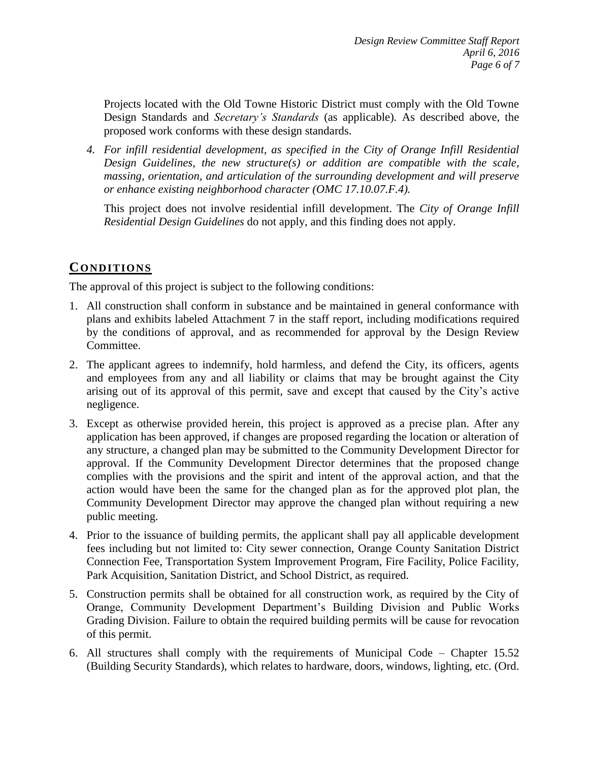Projects located with the Old Towne Historic District must comply with the Old Towne Design Standards and *Secretary's Standards* (as applicable). As described above, the proposed work conforms with these design standards.

*4. For infill residential development, as specified in the City of Orange Infill Residential Design Guidelines, the new structure(s) or addition are compatible with the scale, massing, orientation, and articulation of the surrounding development and will preserve or enhance existing neighborhood character (OMC 17.10.07.F.4).*

This project does not involve residential infill development. The *City of Orange Infill Residential Design Guidelines* do not apply, and this finding does not apply.

# **CONDITIONS**

The approval of this project is subject to the following conditions:

- 1. All construction shall conform in substance and be maintained in general conformance with plans and exhibits labeled Attachment 7 in the staff report, including modifications required by the conditions of approval, and as recommended for approval by the Design Review Committee.
- 2. The applicant agrees to indemnify, hold harmless, and defend the City, its officers, agents and employees from any and all liability or claims that may be brought against the City arising out of its approval of this permit, save and except that caused by the City's active negligence.
- 3. Except as otherwise provided herein, this project is approved as a precise plan. After any application has been approved, if changes are proposed regarding the location or alteration of any structure, a changed plan may be submitted to the Community Development Director for approval. If the Community Development Director determines that the proposed change complies with the provisions and the spirit and intent of the approval action, and that the action would have been the same for the changed plan as for the approved plot plan, the Community Development Director may approve the changed plan without requiring a new public meeting.
- 4. Prior to the issuance of building permits, the applicant shall pay all applicable development fees including but not limited to: City sewer connection, Orange County Sanitation District Connection Fee, Transportation System Improvement Program, Fire Facility, Police Facility, Park Acquisition, Sanitation District, and School District, as required.
- 5. Construction permits shall be obtained for all construction work, as required by the City of Orange, Community Development Department's Building Division and Public Works Grading Division. Failure to obtain the required building permits will be cause for revocation of this permit.
- 6. All structures shall comply with the requirements of Municipal Code Chapter 15.52 (Building Security Standards), which relates to hardware, doors, windows, lighting, etc. (Ord.